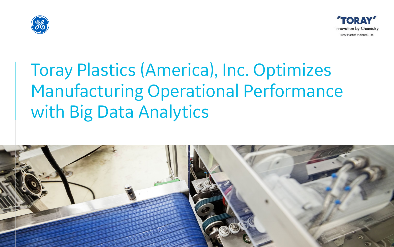

# Toray Plastics (America), Inc. Optimizes Manufacturing Operational Performance with Big Data Analytics



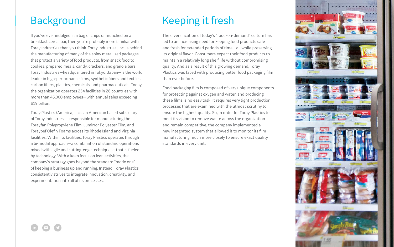### Background

If you've ever indulged in a bag of chips or munched on a breakfast cereal bar, then you're probably more familiar with Toray Industries than you think. Toray Industries, Inc. is behind the manufacturing of many of the shiny metallized packages that protect a variety of food products, from snack food to cookies, prepared meals, candy, crackers, and granola bars. Toray Industries—headquartered in Tokyo, Japan—is the world leader in high-performance films, synthetic fibers and textiles, carbon fibers, plastics, chemicals, and pharmaceuticals. Today, the organization operates 254 facilities in 26 countries with more than 45,000 employees—with annual sales exceeding \$19 billion.

Toray Plastics (America), Inc., an American based subsidiary of Toray Industries, is responsible for manufacturing the Torayfan Polypropylene Film, Lumirror Polyester Film, and Toraypef Olefin Foams across its Rhode Island and Virginia facilities. Within its facilities, Toray Plastics operates through a bi-modal approach—a combination of standard operations mixed with agile and cutting-edge techniques—that is fueled by technology. With a keen focus on lean activities, the company's strategy goes beyond the standard "mode one" of keeping a business up and running. Instead, Toray Plastics consistently strives to integrate innovation, creativity, and experimentation into all of its processes.

# Keeping it fresh

The diversification of today's "food-on-demand" culture has led to an increasing need for keeping food products safe and fresh for extended periods of time—all while preserving its original flavor. Consumers expect their food products to maintain a relatively long shelf life without compromising quality. And as a result of this growing demand, Toray Plastics was faced with producing better food packaging film than ever before.

Food packaging film is composed of very unique components for protecting against oxygen and water, and producing these films is no easy task. It requires very tight production processes that are examined with the utmost scrutiny to ensure the highest quality. So, in order for Toray Plastics to meet its vision to remove waste across the organization and remain competitive, the company implemented a new integrated system that allowed it to monitor its film manufacturing much more closely to ensure exact quality standards in every unit.



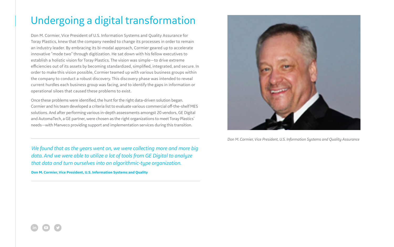## Undergoing a digital transformation

Don M. Cormier, Vice President of U.S. Information Systems and Quality Assurance for Toray Plastics, knew that the company needed to change its processes in order to remain an industry leader. By embracing its bi-modal approach, Cormier geared up to accelerate innovative "mode two" through digitization. He sat down with his fellow executives to establish a holistic vision for Toray Plastics. The vision was simple—to drive extreme efficiencies out of its assets by becoming standardized, simplified, integrated, and secure. In order to make this vision possible, Cormier teamed up with various business groups within the company to conduct a robust discovery. This discovery phase was intended to reveal current hurdles each business group was facing, and to identify the gaps in information or operational siloes that caused these problems to exist.

We found that as the years went on, we were collecting more and more big *data. And we were able to utilize a lot of tools from GE Digital to analyze that data and turn ourselves into an algorithmic-type organization.*

Once these problems were identified, the hunt for the right data-driven solution began. Cormier and his team developed a criteria list to evaluate various commercial off-the-shelf MES solutions. And after performing various in-depth assessments amongst 20 vendors, GE Digital and AutomaTech, a GE partner, were chosen as the right organizations to meet Toray Plastics' needs—with Manveco providing support and implementation services during this transition.

**Don M. Cormier, Vice President, U.S. Information Systems and Quality**





*Don M. Cormier, Vice President, U.S. Information Systems and Quality Assurance*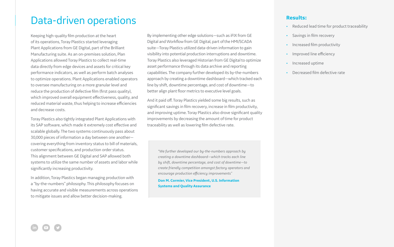### Data-driven operations

Keeping high-quality film production at the heart of its operations, Toray Plastics started leveraging Plant Applications from GE Digital, part of the Brilliant Manufacturing suite. As an on-premises solution, Plan Applications allowed Toray Plastics to collect real-time data directly from edge devices and assets for critical key performance indicators, as well as perform batch analyses to optimize operations. Plant Applications enabled operators to oversee manufacturing on a more granular level and reduce the production of defective film (first pass quality), which improved overall equipment effectiveness, quality, and reduced material waste, thus helping to increase efficiencies and decrease costs.

Toray Plastics also tightly integrated Plant Applications with its SAP software, which made it extremely cost effective and scalable globally. The two systems continuously pass about 30,000 pieces of information a day between one another covering everything from inventory status to bill of materials, customer specifications, and production order status. This alignment between GE Digital and SAP allowed both systems to utilize the same number of assets and labor while significantly increasing productivity.

In addition, Toray Plastics began managing production with a "by-the-numbers" philosophy. This philosophy focuses on having accurate and visible measurements across operations to mitigate issues and allow better decision-making.

By implementing other edge solutions—such as iFIX from GE Digital and Workflow from GE Digital, part of the HMI/SCADA suite—Toray Plastics utilized data-driven information to gain visibility into potential production interruptions and downtime. Toray Plastics also leveraged Historian from GE Digital to optimize asset performance through its data archive and reporting capabilities. The company further developed its by-the-numbers approach by creating a downtime dashboard—which tracked each line by shift, downtime percentage, and cost of downtime—to better align plant floor metrics to executive level goals.

And it paid off. Toray Plastics yielded some big results, such as significant savings in film recovery, increase in film productivity, and improving uptime. Toray Plastics also drove significant quality improvements by decreasing the amount of time for product traceability as well as lowering film defective rate.

*"We further developed our by-the-numbers approach by creating a downtime dashboard—which tracks each line by shift, downtime percentage, and cost of downtime—to create friendly competition amongst factory operators and encourage production efficiency improvements"*

**Don M. Cormier, Vice President, U.S. Information Systems and Quality Assurance**

#### **Results:**

- Reduced lead time for product traceability
- Savings in film recovery
- Increased film productivity
- Improved line efficiency
- Increased uptime
- Decreased film defective rate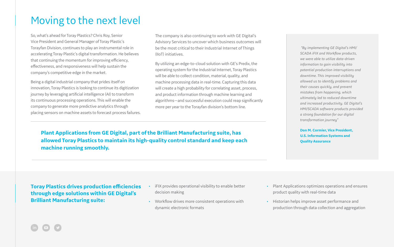### Moving to the next level

So, what's ahead for Toray Plastics? Chris Roy, Senior Vice President and General Manager of Toray Plastic's Torayfan Division, continues to play an instrumental role in accelerating Toray Plastic's digital transformation. He believes that continuing the momentum for improving efficiency, effectiveness, and responsiveness will help sustain the company's competitive edge in the market.

Being a digital industrial company that prides itself on innovation, Toray Plastics is looking to continue its digitization journey by leveraging artificial intelligence (AI) to transform its continuous processing operations. This will enable the company to generate more predictive analytics through placing sensors on machine assets to forecast process failures.

 *"By implementing GE Digital's HMI/ SCADA iFIX and Workflow products, we were able to utilize data-driven information to gain visibility into potential production interruptions and downtime. This improved visibility allowed us to identify problems and their causes quickly, and prevent mistakes from happening, which ultimately led to reduced downtime and increased productivity. GE Digital's HMI/SCADA software products provided a strong foundation for our digital transformation journey"* 

**Don M. Cormier, Vice President, U.S. Information Systems and Quality Assurance**

lant Applications optimizes operations and ensures roduct quality with real-time data

istorian helps improve asset performance and roduction through data collection and aggregation

**Toray Plastics drives production efficiencies through edge solutions within GE Digital's Brilliant Manufacturing suite:**

| • iFIX provides operational visibility to enable better                         | PI: |
|---------------------------------------------------------------------------------|-----|
| decision making                                                                 |     |
| • Workflow drives more consistent operations with<br>dynamic electronic formats | Hi  |
|                                                                                 |     |



**Plant Applications from GE Digital, part of the Brilliant Manufacturing suite, has allowed Toray Plastics to maintain its high-quality control standard and keep each machine running smoothly.**

The company is also continuing to work with GE Digital's Advisory Services to uncover which business outcomes will be the most critical to their Industrial Internet of Things (IIoT) initiatives.

By utilizing an edge-to-cloud solution with GE's Predix, the operating system for the Industrial Internet, Toray Plastics will be able to collect condition, material, quality, and machine processing data in real-time. Capturing this data will create a high probability for correlating asset, process, and product information through machine learning and algorithms—and successful execution could reap significantly more per year to the Torayfan division's bottom line.